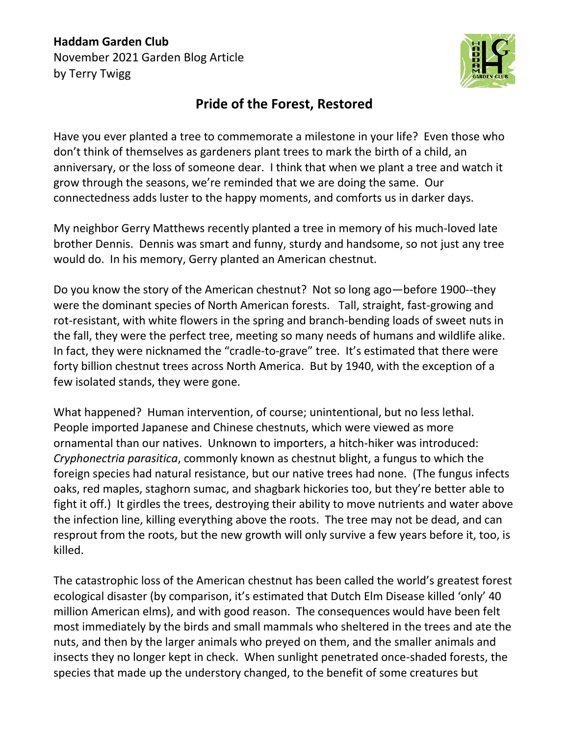## **Haddam Garden Club** November 2021 Garden Blog Article by Terry Twigg



## **Pride of the Forest, Restored**

Have you ever planted a tree to commemorate a milestone in your life? Even those who don't think of themselves as gardeners plant trees to mark the birth of a child, an anniversary, or the loss of someone dear. I think that when we plant a tree and watch it grow through the seasons, we're reminded that we are doing the same. Our connectedness adds luster to the happy moments, and comforts us in darker days.

My neighbor Gerry Matthews recently planted a tree in memory of his much-loved late brother Dennis. Dennis was smart and funny, sturdy and handsome, so not just any tree would do. In his memory, Gerry planted an American chestnut.

Do you know the story of the American chestnut? Not so long ago—before 1900--they were the dominant species of North American forests. Tall, straight, fast-growing and rot-resistant, with white flowers in the spring and branch-bending loads of sweet nuts in the fall, they were the perfect tree, meeting so many needs of humans and wildlife alike. In fact, they were nicknamed the "cradle-to-grave" tree. It's estimated that there were forty billion chestnut trees across North America. But by 1940, with the exception of a few isolated stands, they were gone.

What happened? Human intervention, of course; unintentional, but no less lethal. People imported Japanese and Chinese chestnuts, which were viewed as more ornamental than our natives. Unknown to importers, a hitch-hiker was introduced: *Cryphonectria parasitica*, commonly known as chestnut blight, a fungus to which the foreign species had natural resistance, but our native trees had none. (The fungus infects oaks, red maples, staghorn sumac, and shagbark hickories too, but they're better able to fight it off.) It girdles the trees, destroying their ability to move nutrients and water above the infection line, killing everything above the roots. The tree may not be dead, and can resprout from the roots, but the new growth will only survive a few years before it, too, is killed.

The catastrophic loss of the American chestnut has been called the world's greatest forest ecological disaster (by comparison, it's estimated that Dutch Elm Disease killed 'only' 40 million American elms), and with good reason. The consequences would have been felt most immediately by the birds and small mammals who sheltered in the trees and ate the nuts, and then by the larger animals who preyed on them, and the smaller animals and insects they no longer kept in check. When sunlight penetrated once-shaded forests, the species that made up the understory changed, to the benefit of some creatures but